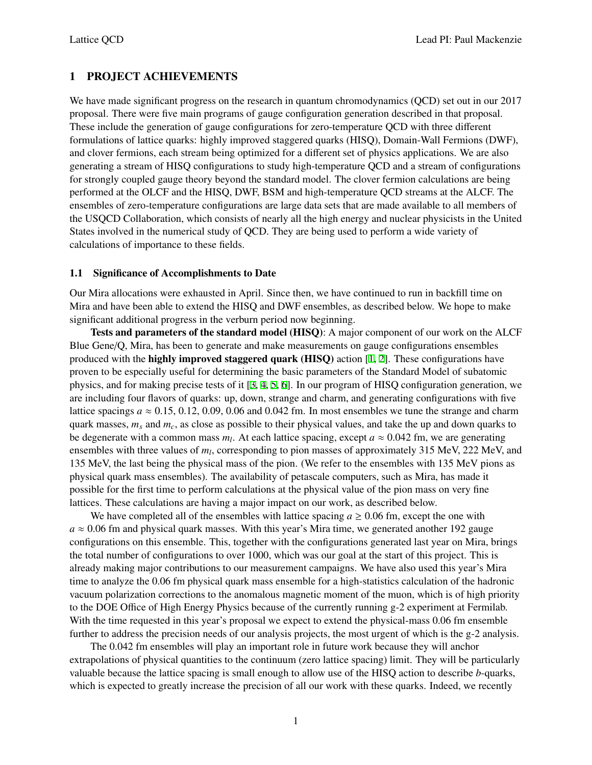# 1 PROJECT ACHIEVEMENTS

We have made significant progress on the research in quantum chromodynamics (QCD) set out in our 2017 proposal. There were five main programs of gauge configuration generation described in that proposal. These include the generation of gauge configurations for zero-temperature QCD with three different formulations of lattice quarks: highly improved staggered quarks (HISQ), Domain-Wall Fermions (DWF), and clover fermions, each stream being optimized for a different set of physics applications. We are also generating a stream of HISQ configurations to study high-temperature QCD and a stream of configurations for strongly coupled gauge theory beyond the standard model. The clover fermion calculations are being performed at the OLCF and the HISQ, DWF, BSM and high-temperature QCD streams at the ALCF. The ensembles of zero-temperature configurations are large data sets that are made available to all members of the USQCD Collaboration, which consists of nearly all the high energy and nuclear physicists in the United States involved in the numerical study of QCD. They are being used to perform a wide variety of calculations of importance to these fields.

## 1.1 Significance of Accomplishments to Date

Our Mira allocations were exhausted in April. Since then, we have continued to run in backfill time on Mira and have been able to extend the HISQ and DWF ensembles, as described below. We hope to make significant additional progress in the verburn period now beginning.

Tests and parameters of the standard model (HISQ): A major component of our work on the ALCF Blue Gene/Q, Mira, has been to generate and make measurements on gauge configurations ensembles produced with the highly improved staggered quark (HISQ) action [\[1,](#page-7-0) [2\]](#page-7-1). These configurations have proven to be especially useful for determining the basic parameters of the Standard Model of subatomic physics, and for making precise tests of it [[3](#page-7-2), [4](#page-7-3), [5](#page-7-4), [6\]](#page-7-5). In our program of HISQ configuration generation, we are including four flavors of quarks: up, down, strange and charm, and generating configurations with five lattice spacings  $a \approx 0.15, 0.12, 0.09, 0.06$  and 0.042 fm. In most ensembles we tune the strange and charm quark masses, *m<sup>s</sup>* and *mc*, as close as possible to their physical values, and take the up and down quarks to be degenerate with a common mass  $m_l$ . At each lattice spacing, except  $a \approx 0.042$  fm, we are generating ensembles with three values of *m<sup>l</sup>* , corresponding to pion masses of approximately 315 MeV, 222 MeV, and 135 MeV, the last being the physical mass of the pion. (We refer to the ensembles with 135 MeV pions as physical quark mass ensembles). The availability of petascale computers, such as Mira, has made it possible for the first time to perform calculations at the physical value of the pion mass on very fine lattices. These calculations are having a major impact on our work, as described below.

We have completed all of the ensembles with lattice spacing  $a \ge 0.06$  fm, except the one with  $a \approx 0.06$  fm and physical quark masses. With this year's Mira time, we generated another 192 gauge configurations on this ensemble. This, together with the configurations generated last year on Mira, brings the total number of configurations to over 1000, which was our goal at the start of this project. This is already making major contributions to our measurement campaigns. We have also used this year's Mira time to analyze the 0.06 fm physical quark mass ensemble for a high-statistics calculation of the hadronic vacuum polarization corrections to the anomalous magnetic moment of the muon, which is of high priority to the DOE Office of High Energy Physics because of the currently running g-2 experiment at Fermilab. With the time requested in this year's proposal we expect to extend the physical-mass 0.06 fm ensemble further to address the precision needs of our analysis projects, the most urgent of which is the g-2 analysis.

The 0.042 fm ensembles will play an important role in future work because they will anchor extrapolations of physical quantities to the continuum (zero lattice spacing) limit. They will be particularly valuable because the lattice spacing is small enough to allow use of the HISQ action to describe *b*-quarks, which is expected to greatly increase the precision of all our work with these quarks. Indeed, we recently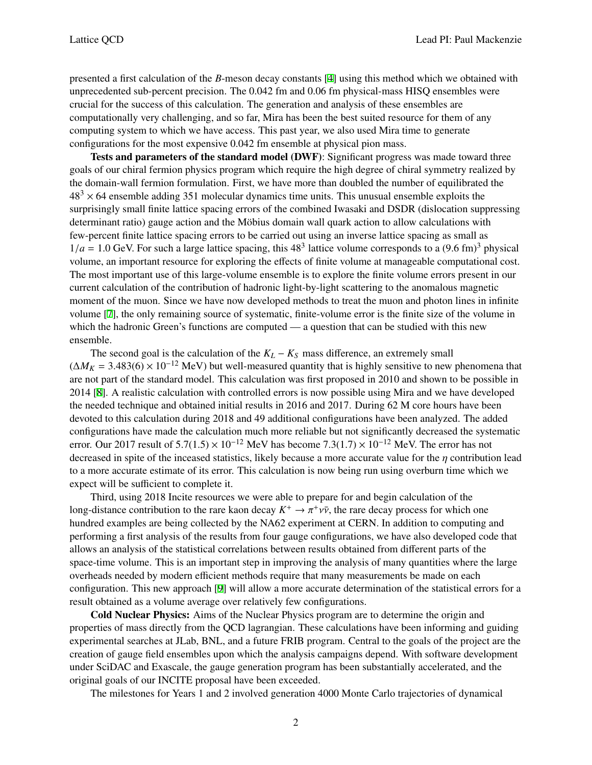presented a first calculation of the *B*-meson decay constants [\[4\]](#page-7-3) using this method which we obtained with unprecedented sub-percent precision. The 0.042 fm and 0.06 fm physical-mass HISQ ensembles were crucial for the success of this calculation. The generation and analysis of these ensembles are computationally very challenging, and so far, Mira has been the best suited resource for them of any computing system to which we have access. This past year, we also used Mira time to generate configurations for the most expensive 0.042 fm ensemble at physical pion mass.

Tests and parameters of the standard model (DWF): Significant progress was made toward three goals of our chiral fermion physics program which require the high degree of chiral symmetry realized by the domain-wall fermion formulation. First, we have more than doubled the number of equilibrated the  $48<sup>3</sup> \times 64$  ensemble adding 351 molecular dynamics time units. This unusual ensemble exploits the surprisingly small finite lattice spacing errors of the combined Iwasaki and DSDR (dislocation suppressing determinant ratio) gauge action and the Möbius domain wall quark action to allow calculations with few-percent finite lattice spacing errors to be carried out using an inverse lattice spacing as small as  $1/a = 1.0$  GeV. For such a large lattice spacing, this  $48<sup>3</sup>$  lattice volume corresponds to a  $(9.6$  fm $)^3$  physical volume, an important resource for exploring the effects of finite volume at manageable computational cost. The most important use of this large-volume ensemble is to explore the finite volume errors present in our current calculation of the contribution of hadronic light-by-light scattering to the anomalous magnetic moment of the muon. Since we have now developed methods to treat the muon and photon lines in infinite volume [[7](#page-7-6)], the only remaining source of systematic, finite-volume error is the finite size of the volume in which the hadronic Green's functions are computed — a question that can be studied with this new ensemble.

The second goal is the calculation of the  $K_L - K_S$  mass difference, an extremely small  $(\Delta M_K = 3.483(6) \times 10^{-12}$  MeV) but well-measured quantity that is highly sensitive to new phenomena that are not part of the standard model. This calculation was first proposed in 2010 and shown to be possible in 2014 [\[8\]](#page-7-7). A realistic calculation with controlled errors is now possible using Mira and we have developed the needed technique and obtained initial results in 2016 and 2017. During 62 M core hours have been devoted to this calculation during 2018 and 49 additional configurations have been analyzed. The added configurations have made the calculation much more reliable but not significantly decreased the systematic error. Our 2017 result of  $5.7(1.5) \times 10^{-12}$  MeV has become  $7.3(1.7) \times 10^{-12}$  MeV. The error has not decreased in spite of the inceased statistics, likely because a more accurate value for the  $\eta$  contribution lead to a more accurate estimate of its error. This calculation is now being run using overburn time which we expect will be sufficient to complete it.

Third, using 2018 Incite resources we were able to prepare for and begin calculation of the long-distance contribution to the rare kaon decay  $K^+ \to \pi^+ \nu \bar{\nu}$ , the rare decay process for which one hundred examples are being collected by the NA62 experiment at CERN. In addition to computing and performing a first analysis of the results from four gauge configurations, we have also developed code that allows an analysis of the statistical correlations between results obtained from different parts of the space-time volume. This is an important step in improving the analysis of many quantities where the large overheads needed by modern efficient methods require that many measurements be made on each configuration. This new approach [\[9\]](#page-7-8) will allow a more accurate determination of the statistical errors for a result obtained as a volume average over relatively few configurations.

Cold Nuclear Physics: Aims of the Nuclear Physics program are to determine the origin and properties of mass directly from the QCD lagrangian. These calculations have been informing and guiding experimental searches at JLab, BNL, and a future FRIB program. Central to the goals of the project are the creation of gauge field ensembles upon which the analysis campaigns depend. With software development under SciDAC and Exascale, the gauge generation program has been substantially accelerated, and the original goals of our INCITE proposal have been exceeded.

The milestones for Years 1 and 2 involved generation 4000 Monte Carlo trajectories of dynamical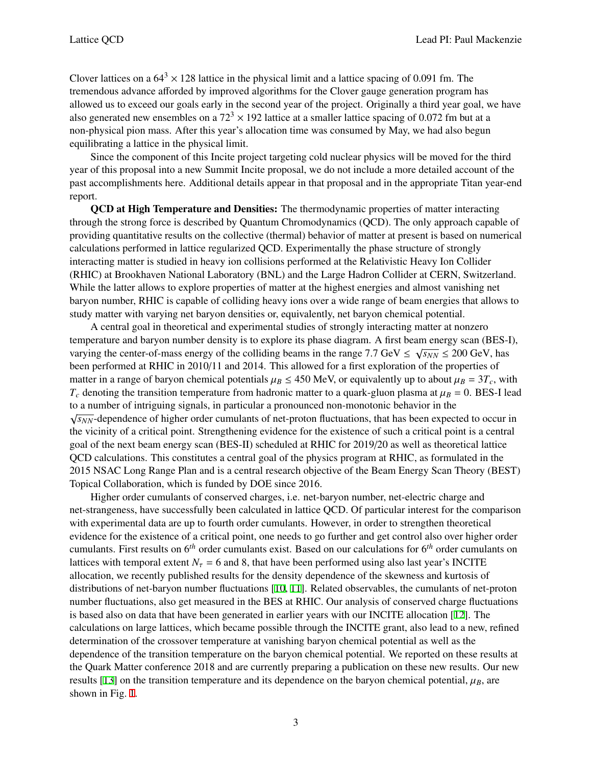Clover lattices on a  $64<sup>3</sup> \times 128$  lattice in the physical limit and a lattice spacing of 0.091 fm. The tremendous advance afforded by improved algorithms for the Clover gauge generation program has allowed us to exceed our goals early in the second year of the project. Originally a third year goal, we have also generated new ensembles on a  $72<sup>3</sup> \times 192$  lattice at a smaller lattice spacing of 0.072 fm but at a non-physical pion mass. After this year's allocation time was consumed by May, we had also begun equilibrating a lattice in the physical limit.

Since the component of this Incite project targeting cold nuclear physics will be moved for the third year of this proposal into a new Summit Incite proposal, we do not include a more detailed account of the past accomplishments here. Additional details appear in that proposal and in the appropriate Titan year-end report.

QCD at High Temperature and Densities: The thermodynamic properties of matter interacting through the strong force is described by Quantum Chromodynamics (QCD). The only approach capable of providing quantitative results on the collective (thermal) behavior of matter at present is based on numerical calculations performed in lattice regularized QCD. Experimentally the phase structure of strongly interacting matter is studied in heavy ion collisions performed at the Relativistic Heavy Ion Collider (RHIC) at Brookhaven National Laboratory (BNL) and the Large Hadron Collider at CERN, Switzerland. While the latter allows to explore properties of matter at the highest energies and almost vanishing net baryon number, RHIC is capable of colliding heavy ions over a wide range of beam energies that allows to study matter with varying net baryon densities or, equivalently, net baryon chemical potential.

A central goal in theoretical and experimental studies of strongly interacting matter at nonzero temperature and baryon number density is to explore its phase diagram. A first beam energy scan (BES-I), varying the center-of-mass energy of the colliding beams in the range 7.7 GeV  $\leq \sqrt{s_{NN}} \leq 200$  GeV, has been performed at RHIC in 2010/11 and 2014. This allowed for a first exploration of the properties of matter in a range of baryon chemical potentials  $\mu_B \le 450$  MeV, or equivalently up to about  $\mu_B = 3T_c$ , with  $T_c$  denoting the transition temperature from hadronic matter to a quark-gluon plasma at  $\mu_B = 0$ . BES-I lead to a number of intriguing signals, in particular a pronounced non-monotonic behavior in the √*s<sub>NN</sub>*-dependence of higher order cumulants of net-proton fluctuations, that has been expected to occur in the vicinity of a critical point. Strengthening evidence for the existence of such a critical point is a central goal of the next beam energy scan (BES-II) scheduled at RHIC for 2019/20 as well as theoretical lattice QCD calculations. This constitutes a central goal of the physics program at RHIC, as formulated in the 2015 NSAC Long Range Plan and is a central research objective of the Beam Energy Scan Theory (BEST) Topical Collaboration, which is funded by DOE since 2016.

Higher order cumulants of conserved charges, i.e. net-baryon number, net-electric charge and net-strangeness, have successfully been calculated in lattice QCD. Of particular interest for the comparison with experimental data are up to fourth order cumulants. However, in order to strengthen theoretical evidence for the existence of a critical point, one needs to go further and get control also over higher order cumulants. First results on 6*th* order cumulants exist. Based on our calculations for 6*th* order cumulants on lattices with temporal extent  $N<sub>\tau</sub> = 6$  and 8, that have been performed using also last year's INCITE allocation, we recently published results for the density dependence of the skewness and kurtosis of distributions of net-baryon number fluctuations [\[10](#page-7-9), [11](#page-7-10)]. Related observables, the cumulants of net-proton number fluctuations, also get measured in the BES at RHIC. Our analysis of conserved charge fluctuations is based also on data that have been generated in earlier years with our INCITE allocation [[12\]](#page-7-11). The calculations on large lattices, which became possible through the INCITE grant, also lead to a new, refined determination of the crossover temperature at vanishing baryon chemical potential as well as the dependence of the transition temperature on the baryon chemical potential. We reported on these results at the Quark Matter conference 2018 and are currently preparing a publication on these new results. Our new results [[13\]](#page-7-12) on the transition temperature and its dependence on the baryon chemical potential,  $\mu_B$ , are shown in Fig. [1.](#page-3-0)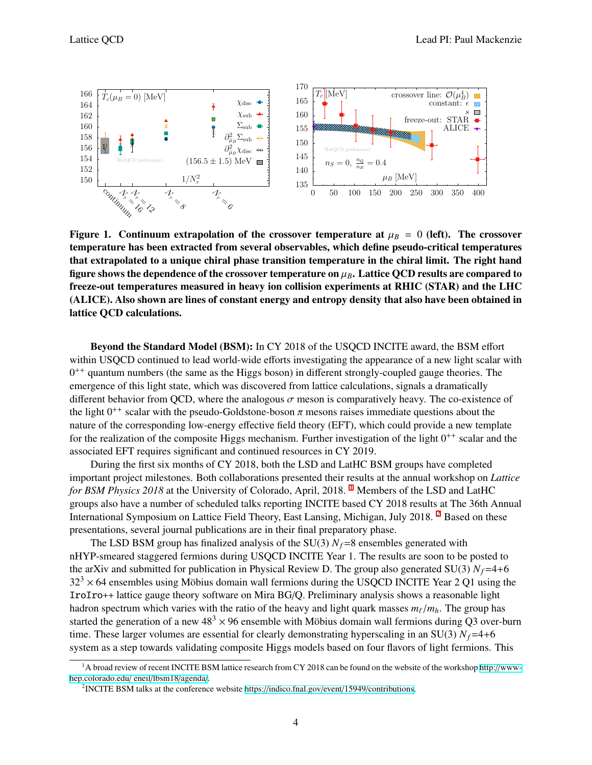<span id="page-3-0"></span>

Figure 1. Continuum extrapolation of the crossover temperature at  $\mu_B = 0$  (left). The crossover temperature has been extracted from several observables, which define pseudo-critical temperatures that extrapolated to a unique chiral phase transition temperature in the chiral limit. The right hand figure shows the dependence of the crossover temperature on  $\mu_B$ . Lattice QCD results are compared to freeze-out temperatures measured in heavy ion collision experiments at RHIC (STAR) and the LHC (ALICE). Also shown are lines of constant energy and entropy density that also have been obtained in lattice QCD calculations.

Beyond the Standard Model (BSM): In CY 2018 of the USQCD INCITE award, the BSM effort within USQCD continued to lead world-wide efforts investigating the appearance of a new light scalar with 0<sup>++</sup> quantum numbers (the same as the Higgs boson) in different strongly-coupled gauge theories. The emergence of this light state, which was discovered from lattice calculations, signals a dramatically different behavior from QCD, where the analogous  $\sigma$  meson is comparatively heavy. The co-existence of the light  $0^{++}$  scalar with the pseudo-Goldstone-boson  $\pi$  mesons raises immediate questions about the nature of the corresponding low-energy effective field theory (EFT), which could provide a new template for the realization of the composite Higgs mechanism. Further investigation of the light  $0^{++}$  scalar and the associated EFT requires significant and continued resources in CY 2019.

During the first six months of CY 2018, both the LSD and LatHC BSM groups have completed important project milestones. Both collaborations presented their results at the annual workshop on *Lattice for BSM Physics 20[1](#page-3-1)8* at the University of Colorado, April, 2018. <sup>1</sup> Members of the LSD and LatHC groups also have a number of scheduled talks reporting INCITE based CY 2018 results at The 36th Annual International Symposium on Lattice Field Theory, East Lansing, Michigan, July 2018. [2](#page-3-2) Based on these presentations, several journal publications are in their final preparatory phase.

The LSD BSM group has finalized analysis of the SU(3)  $N_f$ =8 ensembles generated with nHYP-smeared staggered fermions during USQCD INCITE Year 1. The results are soon to be posted to the arXiv and submitted for publication in Physical Review D. The group also generated SU(3)  $N_f$ =4+6  $32<sup>3</sup> \times 64$  ensembles using Möbius domain wall fermions during the USQCD INCITE Year 2 Q1 using the IroIro++ lattice gauge theory software on Mira BG/Q. Preliminary analysis shows a reasonable light hadron spectrum which varies with the ratio of the heavy and light quark masses  $m_\ell/m_h$ . The group has started the generation of a new  $48<sup>3</sup> \times 96$  ensemble with Möbius domain wall fermions during Q3 over-burn time. These larger volumes are essential for clearly demonstrating hyperscaling in an SU(3)  $N_f$ =4+6 system as a step towards validating composite Higgs models based on four flavors of light fermions. This

<span id="page-3-1"></span><sup>&</sup>lt;sup>1</sup>A broad review of recent INCITE BSM lattice research from CY 2018 can be found on the website of the workshop http://[www](http://www-hep.colorado.edu/~eneil/lbsm18/agenda/)[hep.colorado.edu](http://www-hep.colorado.edu/~eneil/lbsm18/agenda/)/ eneil/lbsm18/agenda/.

<span id="page-3-2"></span><sup>&</sup>lt;sup>2</sup>INCITE BSM talks at the conference website https://[indico.fnal.gov](https://indico.fnal.gov/event/15949/contributions)/event/15949/contributions.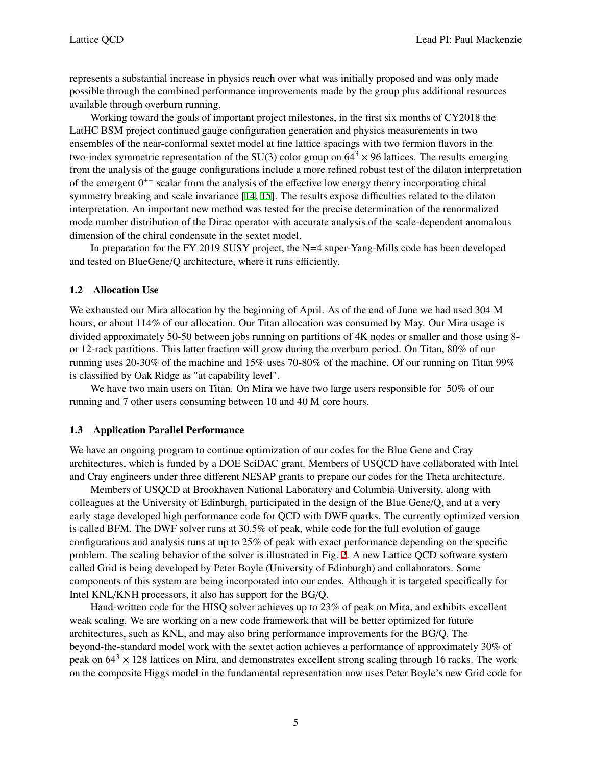represents a substantial increase in physics reach over what was initially proposed and was only made possible through the combined performance improvements made by the group plus additional resources available through overburn running.

Working toward the goals of important project milestones, in the first six months of CY2018 the LatHC BSM project continued gauge configuration generation and physics measurements in two ensembles of the near-conformal sextet model at fine lattice spacings with two fermion flavors in the two-index symmetric representation of the SU(3) color group on  $64<sup>3</sup> \times 96$  lattices. The results emerging from the analysis of the gauge configurations include a more refined robust test of the dilaton interpretation of the emergent  $0^{++}$  scalar from the analysis of the effective low energy theory incorporating chiral symmetry breaking and scale invariance [\[14](#page-7-13), [15\]](#page-7-14). The results expose difficulties related to the dilaton interpretation. An important new method was tested for the precise determination of the renormalized mode number distribution of the Dirac operator with accurate analysis of the scale-dependent anomalous dimension of the chiral condensate in the sextet model.

In preparation for the FY 2019 SUSY project, the N=4 super-Yang-Mills code has been developed and tested on BlueGene/Q architecture, where it runs efficiently.

## 1.2 Allocation Use

We exhausted our Mira allocation by the beginning of April. As of the end of June we had used 304 M hours, or about 114% of our allocation. Our Titan allocation was consumed by May. Our Mira usage is divided approximately 50-50 between jobs running on partitions of 4K nodes or smaller and those using 8 or 12-rack partitions. This latter fraction will grow during the overburn period. On Titan, 80% of our running uses 20-30% of the machine and 15% uses 70-80% of the machine. Of our running on Titan 99% is classified by Oak Ridge as "at capability level".

We have two main users on Titan. On Mira we have two large users responsible for 50% of our running and 7 other users consuming between 10 and 40 M core hours.

### 1.3 Application Parallel Performance

We have an ongoing program to continue optimization of our codes for the Blue Gene and Cray architectures, which is funded by a DOE SciDAC grant. Members of USQCD have collaborated with Intel and Cray engineers under three different NESAP grants to prepare our codes for the Theta architecture.

Members of USQCD at Brookhaven National Laboratory and Columbia University, along with colleagues at the University of Edinburgh, participated in the design of the Blue Gene/Q, and at a very early stage developed high performance code for QCD with DWF quarks. The currently optimized version is called BFM. The DWF solver runs at 30.5% of peak, while code for the full evolution of gauge configurations and analysis runs at up to 25% of peak with exact performance depending on the specific problem. The scaling behavior of the solver is illustrated in Fig. [2.](#page-5-0) A new Lattice QCD software system called Grid is being developed by Peter Boyle (University of Edinburgh) and collaborators. Some components of this system are being incorporated into our codes. Although it is targeted specifically for Intel KNL/KNH processors, it also has support for the BG/Q.

Hand-written code for the HISQ solver achieves up to 23% of peak on Mira, and exhibits excellent weak scaling. We are working on a new code framework that will be better optimized for future architectures, such as KNL, and may also bring performance improvements for the BG/Q. The beyond-the-standard model work with the sextet action achieves a performance of approximately 30% of peak on  $64<sup>3</sup> \times 128$  lattices on Mira, and demonstrates excellent strong scaling through 16 racks. The work on the composite Higgs model in the fundamental representation now uses Peter Boyle's new Grid code for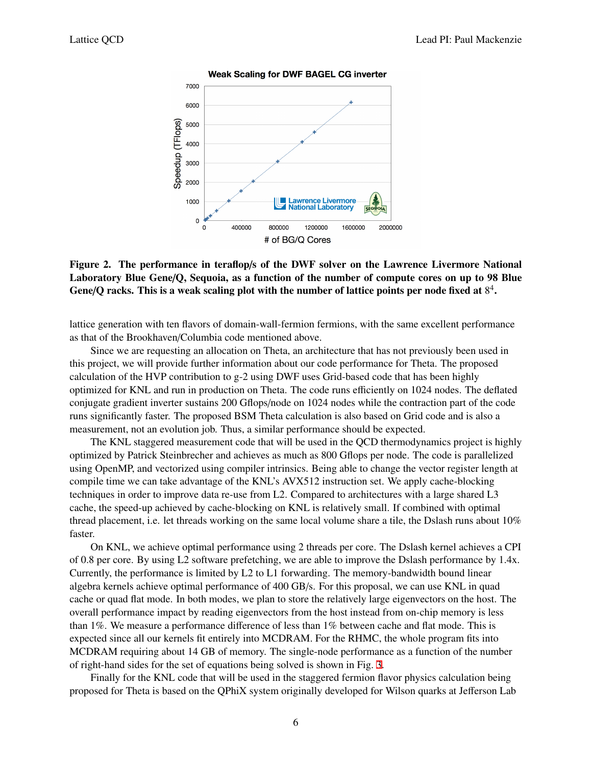<span id="page-5-0"></span>

#### **Weak Scaling for DWF BAGEL CG inverter**

# Figure 2. The performance in teraflop/s of the DWF solver on the Lawrence Livermore National Laboratory Blue Gene/Q, Sequoia, as a function of the number of compute cores on up to 98 Blue Gene/Q racks. This is a weak scaling plot with the number of lattice points per node fixed at  $8^4$ .

lattice generation with ten flavors of domain-wall-fermion fermions, with the same excellent performance as that of the Brookhaven/Columbia code mentioned above.

Since we are requesting an allocation on Theta, an architecture that has not previously been used in this project, we will provide further information about our code performance for Theta. The proposed calculation of the HVP contribution to g-2 using DWF uses Grid-based code that has been highly optimized for KNL and run in production on Theta. The code runs efficiently on 1024 nodes. The deflated conjugate gradient inverter sustains 200 Gflops/node on 1024 nodes while the contraction part of the code runs significantly faster. The proposed BSM Theta calculation is also based on Grid code and is also a measurement, not an evolution job. Thus, a similar performance should be expected.

The KNL staggered measurement code that will be used in the QCD thermodynamics project is highly optimized by Patrick Steinbrecher and achieves as much as 800 Gflops per node. The code is parallelized using OpenMP, and vectorized using compiler intrinsics. Being able to change the vector register length at compile time we can take advantage of the KNL's AVX512 instruction set. We apply cache-blocking techniques in order to improve data re-use from L2. Compared to architectures with a large shared L3 cache, the speed-up achieved by cache-blocking on KNL is relatively small. If combined with optimal thread placement, i.e. let threads working on the same local volume share a tile, the Dslash runs about 10% faster.

On KNL, we achieve optimal performance using 2 threads per core. The Dslash kernel achieves a CPI of 0.8 per core. By using L2 software prefetching, we are able to improve the Dslash performance by 1.4x. Currently, the performance is limited by L2 to L1 forwarding. The memory-bandwidth bound linear algebra kernels achieve optimal performance of 400 GB/s. For this proposal, we can use KNL in quad cache or quad flat mode. In both modes, we plan to store the relatively large eigenvectors on the host. The overall performance impact by reading eigenvectors from the host instead from on-chip memory is less than 1%. We measure a performance difference of less than 1% between cache and flat mode. This is expected since all our kernels fit entirely into MCDRAM. For the RHMC, the whole program fits into MCDRAM requiring about 14 GB of memory. The single-node performance as a function of the number of right-hand sides for the set of equations being solved is shown in Fig. [3.](#page-6-0)

Finally for the KNL code that will be used in the staggered fermion flavor physics calculation being proposed for Theta is based on the QPhiX system originally developed for Wilson quarks at Jefferson Lab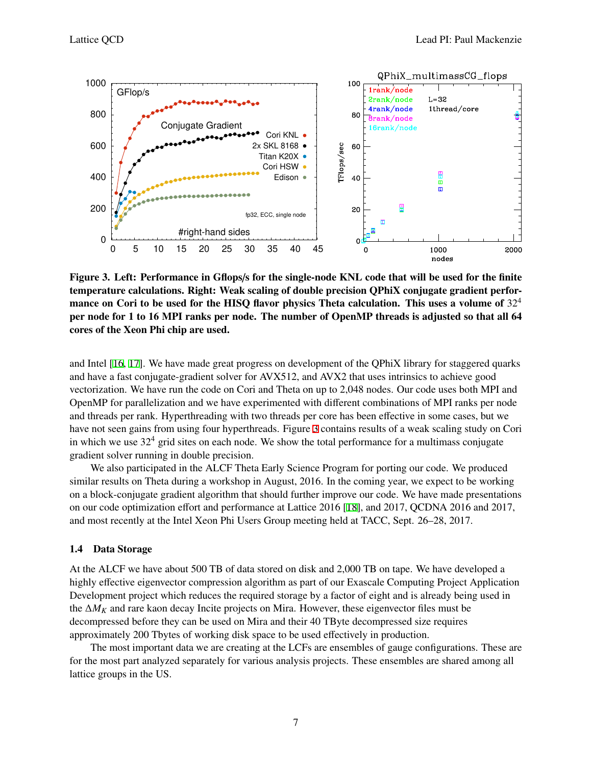<span id="page-6-0"></span>

Figure 3. Left: Performance in Gflops/s for the single-node KNL code that will be used for the finite temperature calculations. Right: Weak scaling of double precision QPhiX conjugate gradient performance on Cori to be used for the HISQ flavor physics Theta calculation. This uses a volume of  $32<sup>4</sup>$ per node for 1 to 16 MPI ranks per node. The number of OpenMP threads is adjusted so that all 64 cores of the Xeon Phi chip are used.

and Intel [[16,](#page-7-15) [17](#page-8-0)]. We have made great progress on development of the QPhiX library for staggered quarks and have a fast conjugate-gradient solver for AVX512, and AVX2 that uses intrinsics to achieve good vectorization. We have run the code on Cori and Theta on up to 2,048 nodes. Our code uses both MPI and OpenMP for parallelization and we have experimented with different combinations of MPI ranks per node and threads per rank. Hyperthreading with two threads per core has been effective in some cases, but we have not seen gains from using four hyperthreads. Figure [3](#page-6-0) contains results of a weak scaling study on Cori in which we use  $32<sup>4</sup>$  grid sites on each node. We show the total performance for a multimass conjugate gradient solver running in double precision.

We also participated in the ALCF Theta Early Science Program for porting our code. We produced similar results on Theta during a workshop in August, 2016. In the coming year, we expect to be working on a block-conjugate gradient algorithm that should further improve our code. We have made presentations on our code optimization effort and performance at Lattice 2016 [\[18](#page-8-1)], and 2017, QCDNA 2016 and 2017, and most recently at the Intel Xeon Phi Users Group meeting held at TACC, Sept. 26–28, 2017.

### 1.4 Data Storage

At the ALCF we have about 500 TB of data stored on disk and 2,000 TB on tape. We have developed a highly effective eigenvector compression algorithm as part of our Exascale Computing Project Application Development project which reduces the required storage by a factor of eight and is already being used in the ∆*M<sup>K</sup>* and rare kaon decay Incite projects on Mira. However, these eigenvector files must be decompressed before they can be used on Mira and their 40 TByte decompressed size requires approximately 200 Tbytes of working disk space to be used effectively in production.

The most important data we are creating at the LCFs are ensembles of gauge configurations. These are for the most part analyzed separately for various analysis projects. These ensembles are shared among all lattice groups in the US.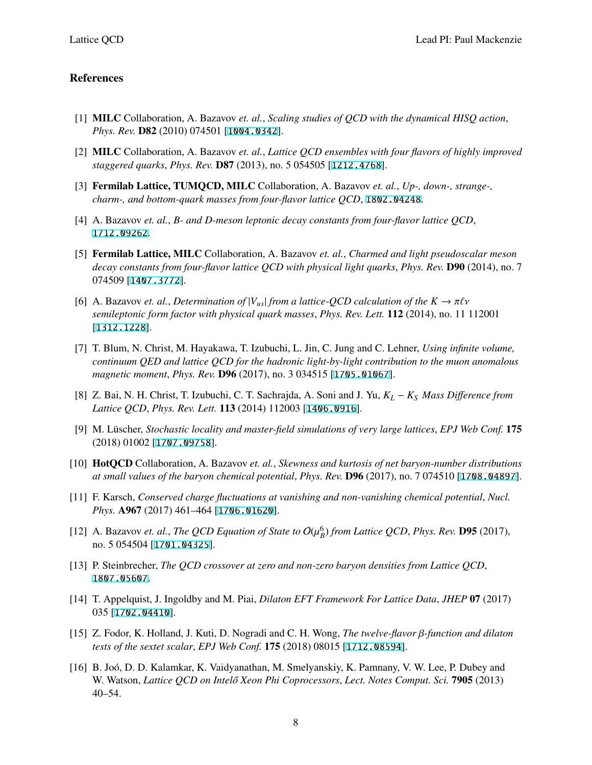## References

- <span id="page-7-0"></span>[1] MILC Collaboration, A. Bazavov *et. al.*, *Scaling studies of QCD with the dynamical HISQ action*, *Phys. Rev.* D82 (2010) 074501 [[1004.0342](http://arXiv.org/abs/1004.0342)].
- <span id="page-7-1"></span>[2] MILC Collaboration, A. Bazavov *et. al.*, *Lattice QCD ensembles with four flavors of highly improved staggered quarks*, *Phys. Rev.* D87 (2013), no. 5 054505 [[1212.4768](http://arXiv.org/abs/1212.4768)].
- <span id="page-7-2"></span>[3] Fermilab Lattice, TUMQCD, MILC Collaboration, A. Bazavov *et. al.*, *Up-, down-, strange-, charm-, and bottom-quark masses from four-flavor lattice QCD*, [1802.04248](http://arXiv.org/abs/1802.04248).
- <span id="page-7-3"></span>[4] A. Bazavov *et. al.*, *B- and D-meson leptonic decay constants from four-flavor lattice QCD*, [1712.09262](http://arXiv.org/abs/1712.09262).
- <span id="page-7-4"></span>[5] Fermilab Lattice, MILC Collaboration, A. Bazavov *et. al.*, *Charmed and light pseudoscalar meson decay constants from four-flavor lattice QCD with physical light quarks*, *Phys. Rev.* D90 (2014), no. 7 074509 [[1407.3772](http://arXiv.org/abs/1407.3772)].
- <span id="page-7-5"></span>[6] A. Bazavov *et. al., Determination of*  $|V_{us}|$  *from a lattice-QCD calculation of the*  $K \to \pi \ell \nu$ *semileptonic form factor with physical quark masses*, *Phys. Rev. Lett.* 112 (2014), no. 11 112001 [[1312.1228](http://arXiv.org/abs/1312.1228)].
- <span id="page-7-6"></span>[7] T. Blum, N. Christ, M. Hayakawa, T. Izubuchi, L. Jin, C. Jung and C. Lehner, *Using infinite volume, continuum QED and lattice QCD for the hadronic light-by-light contribution to the muon anomalous magnetic moment*, *Phys. Rev.* D96 (2017), no. 3 034515 [[1705.01067](http://arXiv.org/abs/1705.01067)].
- <span id="page-7-7"></span>[8] Z. Bai, N. H. Christ, T. Izubuchi, C. T. Sachrajda, A. Soni and J. Yu, *K<sup>L</sup>* − *K<sup>S</sup> Mass Di*ff*erence from Lattice QCD*, *Phys. Rev. Lett.* 113 (2014) 112003 [[1406.0916](http://arXiv.org/abs/1406.0916)].
- <span id="page-7-8"></span>[9] M. Lüscher, *Stochastic locality and master-field simulations of very large lattices*, *EPJ Web Conf.* 175 (2018) 01002 [[1707.09758](http://arXiv.org/abs/1707.09758)].
- <span id="page-7-9"></span>[10] HotQCD Collaboration, A. Bazavov *et. al.*, *Skewness and kurtosis of net baryon-number distributions at small values of the baryon chemical potential*, *Phys. Rev.* D96 (2017), no. 7 074510 [[1708.04897](http://arXiv.org/abs/1708.04897)].
- <span id="page-7-10"></span>[11] F. Karsch, *Conserved charge fluctuations at vanishing and non-vanishing chemical potential*, *Nucl. Phys.* A967 (2017) 461–464 [[1706.01620](http://arXiv.org/abs/1706.01620)].
- <span id="page-7-11"></span>[12] A. Bazavov *et. al., The QCD Equation of State to*  $O(\mu_B^6)$  *from Lattice QCD, Phys. Rev.* **D95** (2017), no. 5 054504 [[1701.04325](http://arXiv.org/abs/1701.04325)].
- <span id="page-7-12"></span>[13] P. Steinbrecher, *The QCD crossover at zero and non-zero baryon densities from Lattice QCD*, [1807.05607](http://arXiv.org/abs/1807.05607).
- <span id="page-7-13"></span>[14] T. Appelquist, J. Ingoldby and M. Piai, *Dilaton EFT Framework For Lattice Data*, *JHEP* 07 (2017) 035 [[1702.04410](http://arXiv.org/abs/1702.04410)].
- <span id="page-7-14"></span>[15] Z. Fodor, K. Holland, J. Kuti, D. Nogradi and C. H. Wong, *The twelve-flavor* β*-function and dilaton tests of the sextet scalar*, *EPJ Web Conf.* 175 (2018) 08015 [[1712.08594](http://arXiv.org/abs/1712.08594)].
- <span id="page-7-15"></span>[16] B. Joó, D. D. Kalamkar, K. Vaidyanathan, M. Smelyanskiy, K. Pamnany, V. W. Lee, P. Dubey and W. Watson, *Lattice QCD on Intelő Xeon Phi Coprocessors*, *Lect. Notes Comput. Sci.* **7905** (2013) 40–54.